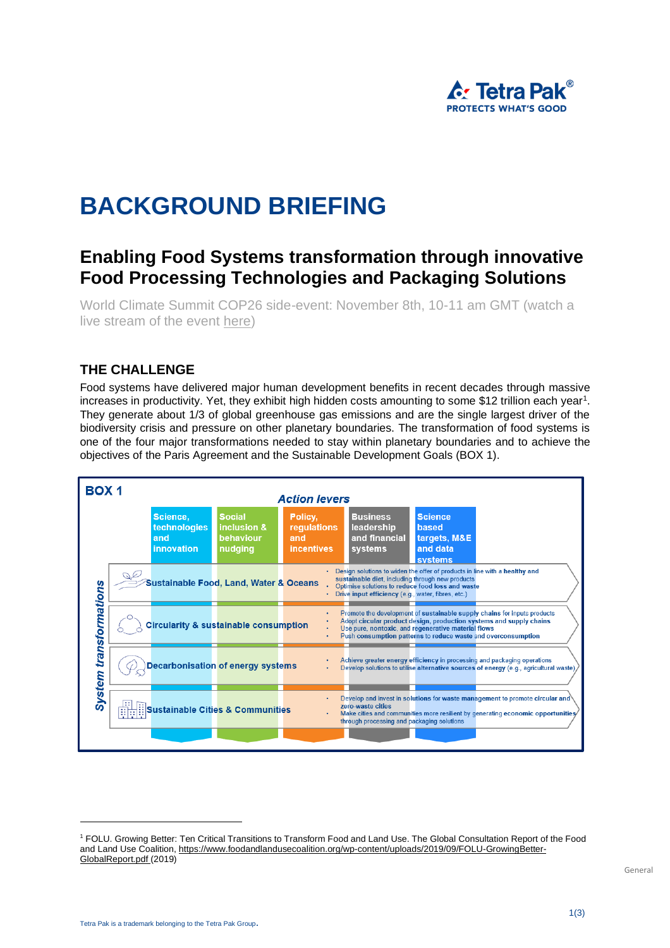

# **BACKGROUND BRIEFING**

## **Enabling Food Systems transformation through innovative Food Processing Technologies and Packaging Solutions**

World Climate Summit COP26 side-event: November 8th, 10-11 am GMT (watch a live stream of the event [here\)](https://www.youtube.com/watch?v=024zBttPHtQ)

#### **THE CHALLENGE**

Food systems have delivered major human development benefits in recent decades through massive increases in productivity. Yet, they exhibit high hidden costs amounting to some \$12 trillion each year<sup>1</sup>. They generate about 1/3 of global greenhouse gas emissions and are the single largest driver of the biodiversity crisis and pressure on other planetary boundaries. The transformation of food systems is one of the four major transformations needed to stay within planetary boundaries and to achieve the objectives of the Paris Agreement and the Sustainable Development Goals (BOX 1).



<sup>1</sup> FOLU. Growing Better: Ten Critical Transitions to Transform Food and Land Use. The Global Consultation Report of the Food and Land Use Coalition, https://www.foodandlandusecoalition.org/wp-content/uploads/2019/09/FOLU-GrowingBetter-GlobalReport.pdf (2019)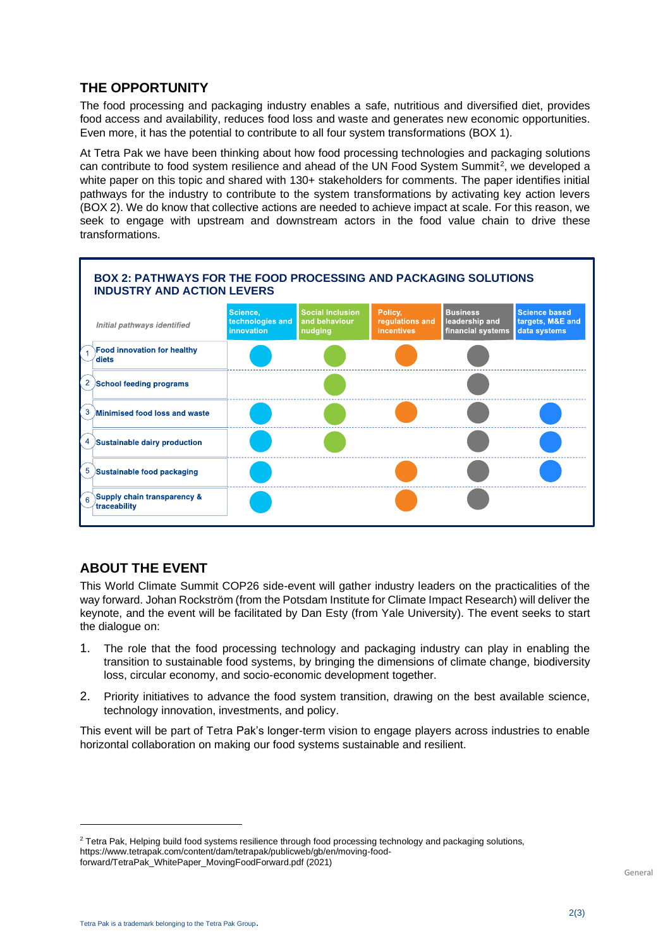#### **THE OPPORTUNITY**

The food processing and packaging industry enables a safe, nutritious and diversified diet, provides food access and availability, reduces food loss and waste and generates new economic opportunities. Even more, it has the potential to contribute to all four system transformations (BOX 1).

At Tetra Pak we have been thinking about how food processing technologies and packaging solutions can contribute to food system resilience and ahead of the UN Food System Summit<sup>2</sup>, we developed a white paper on this topic and shared with 130+ stakeholders for comments. The paper identifies initial pathways for the industry to contribute to the system transformations by activating key action levers (BOX 2). We do know that collective actions are needed to achieve impact at scale. For this reason, we seek to engage with upstream and downstream actors in the food value chain to drive these transformations.



### **ABOUT THE EVENT**

This World Climate Summit COP26 side-event will gather industry leaders on the practicalities of the way forward. Johan Rockström (from the Potsdam Institute for Climate Impact Research) will deliver the keynote, and the event will be facilitated by Dan Esty (from Yale University). The event seeks to start the dialogue on:

- 1. The role that the food processing technology and packaging industry can play in enabling the transition to sustainable food systems, by bringing the dimensions of climate change, biodiversity loss, circular economy, and socio-economic development together.
- 2. Priority initiatives to advance the food system transition, drawing on the best available science, technology innovation, investments, and policy.

This event will be part of Tetra Pak's longer-term vision to engage players across industries to enable horizontal collaboration on making our food systems sustainable and resilient.

<sup>&</sup>lt;sup>2</sup> Tetra Pak, Helping build food systems resilience through food processing technology and packaging solutions, https://www.tetrapak.com/content/dam/tetrapak/publicweb/gb/en/moving-foodforward/TetraPak\_WhitePaper\_MovingFoodForward.pdf (2021)